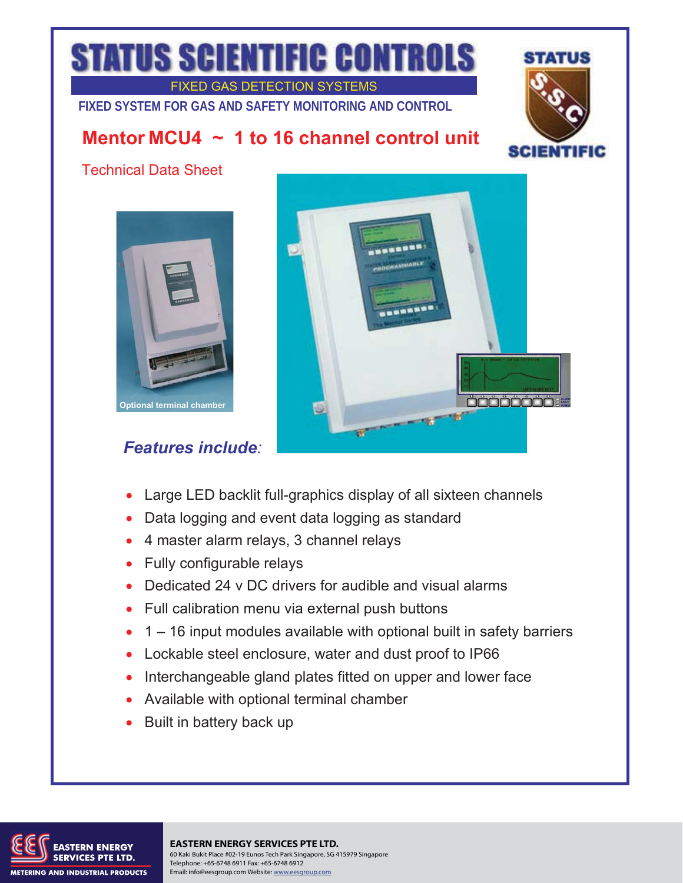## **TATUS SCIENTIFIC CONTROLS**

FIXED GAS DETECTION SYSTEMS

**FIXED SYSTEM FOR GAS AND SAFETY MONITORING AND CONTROL** 

## **Mentor MCU4 ~ 1 to 16 channel control unit**



Technical Data Sheet



## *Features include:*



- Large LED backlit full-graphics display of all sixteen channels
- Data logging and event data logging as standard
- 4 master alarm relays, 3 channel relays
- Fully configurable relays
- Dedicated 24 v DC drivers for audible and visual alarms
- Full calibration menu via external push buttons
- $\bullet$  1 16 input modules available with optional built in safety barriers
- Lockable steel enclosure, water and dust proof to IP66
- Interchangeable gland plates fitted on upper and lower face
- Available with optional terminal chamber
- Built in battery back up



**EASTERN ENERGY SERVICES PTE LTD.** 60 Kaki Bukit Place #02-19 Eunos Tech Park Singapore, SG 415979 Singapore Telephone: +65-6748 6911 Fax: +65-6748 6912 Email: info@eesgroup.com Website: www.eesgroup.com